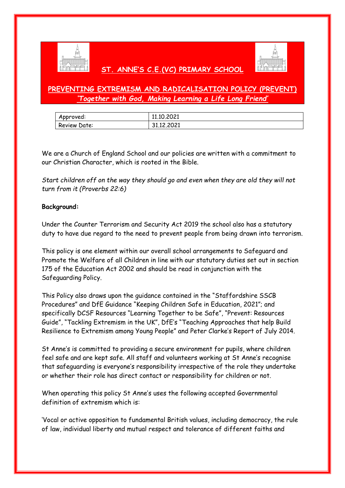

### **ST. ANNE'S C.E.(VC) PRIMARY SCHOOL**



### **PREVENTING EXTREMISM AND RADICALISATION POLICY (PREVENT)** *'Together with God, Making Learning a Life Long Friend'*

| Approved:    | 11.10.2021 |
|--------------|------------|
| Review Date: | 31.12.2021 |

We are a Church of England School and our policies are written with a commitment to our Christian Character, which is rooted in the Bible.

*Start children off on the way they should go and even when they are old they will not turn from it (Proverbs 22:6)*

### **Background:**

Under the Counter Terrorism and Security Act 2019 the school also has a statutory duty to have due regard to the need to prevent people from being drawn into terrorism.

This policy is one element within our overall school arrangements to Safeguard and Promote the Welfare of all Children in line with our statutory duties set out in section 175 of the Education Act 2002 and should be read in conjunction with the Safeguarding Policy.

This Policy also draws upon the guidance contained in the "Staffordshire SSCB Procedures" and DfE Guidance "Keeping Children Safe in Education, 2021"; and specifically DCSF Resources "Learning Together to be Safe", "Prevent: Resources Guide", "Tackling Extremism in the UK", DfE's "Teaching Approaches that help Build Resilience to Extremism among Young People" and Peter Clarke's Report of July 2014.

St Anne's is committed to providing a secure environment for pupils, where children feel safe and are kept safe. All staff and volunteers working at St Anne's recognise that safeguarding is everyone's responsibility irrespective of the role they undertake or whether their role has direct contact or responsibility for children or not.

When operating this policy St Anne's uses the following accepted Governmental definition of extremism which is:

'Vocal or active opposition to fundamental British values, including democracy, the rule of law, individual liberty and mutual respect and tolerance of different faiths and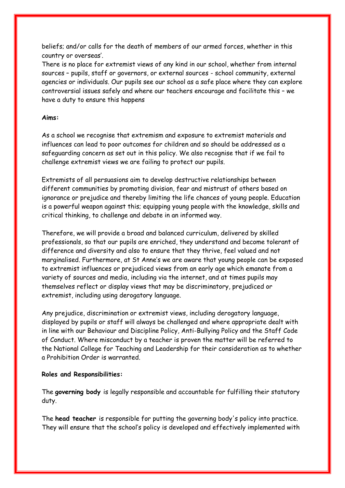beliefs; and/or calls for the death of members of our armed forces, whether in this country or overseas'.

There is no place for extremist views of any kind in our school, whether from internal sources – pupils, staff or governors, or external sources - school community, external agencies or individuals. Our pupils see our school as a safe place where they can explore controversial issues safely and where our teachers encourage and facilitate this – we have a duty to ensure this happens

### **Aims:**

As a school we recognise that extremism and exposure to extremist materials and influences can lead to poor outcomes for children and so should be addressed as a safeguarding concern as set out in this policy. We also recognise that if we fail to challenge extremist views we are failing to protect our pupils.

Extremists of all persuasions aim to develop destructive relationships between different communities by promoting division, fear and mistrust of others based on ignorance or prejudice and thereby limiting the life chances of young people. Education is a powerful weapon against this; equipping young people with the knowledge, skills and critical thinking, to challenge and debate in an informed way.

Therefore, we will provide a broad and balanced curriculum, delivered by skilled professionals, so that our pupils are enriched, they understand and become tolerant of difference and diversity and also to ensure that they thrive, feel valued and not marginalised. Furthermore, at St Anne's we are aware that young people can be exposed to extremist influences or prejudiced views from an early age which emanate from a variety of sources and media, including via the internet, and at times pupils may themselves reflect or display views that may be discriminatory, prejudiced or extremist, including using derogatory language.

Any prejudice, discrimination or extremist views, including derogatory language, displayed by pupils or staff will always be challenged and where appropriate dealt with in line with our Behaviour and Discipline Policy, Anti-Bullying Policy and the Staff Code of Conduct. Where misconduct by a teacher is proven the matter will be referred to the National College for Teaching and Leadership for their consideration as to whether a Prohibition Order is warranted.

### **Roles and Responsibilities:**

The **governing body** is legally responsible and accountable for fulfilling their statutory duty.

The **head teacher** is responsible for putting the governing body's policy into practice. They will ensure that the school's policy is developed and effectively implemented with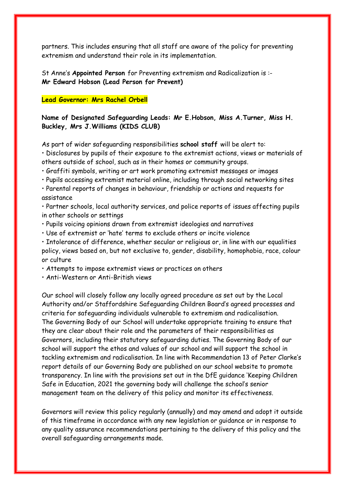partners. This includes ensuring that all staff are aware of the policy for preventing extremism and understand their role in its implementation.

St Anne's **Appointed Person** for Preventing extremism and Radicalization is :- **Mr Edward Hobson (Lead Person for Prevent)** 

### **Lead Governor: Mrs Rachel Orbell**

### **Name of Designated Safeguarding Leads: Mr E.Hobson, Miss A.Turner, Miss H. Buckley, Mrs J.Williams (KIDS CLUB)**

As part of wider safeguarding responsibilities **school staff** will be alert to:

• Disclosures by pupils of their exposure to the extremist actions, views or materials of others outside of school, such as in their homes or community groups.

- Graffiti symbols, writing or art work promoting extremist messages or images
- Pupils accessing extremist material online, including through social networking sites

• Parental reports of changes in behaviour, friendship or actions and requests for assistance

• Partner schools, local authority services, and police reports of issues affecting pupils in other schools or settings

- Pupils voicing opinions drawn from extremist ideologies and narratives
- Use of extremist or 'hate' terms to exclude others or incite violence

• Intolerance of difference, whether secular or religious or, in line with our equalities policy, views based on, but not exclusive to, gender, disability, homophobia, race, colour or culture

• Attempts to impose extremist views or practices on others

• Anti-Western or Anti-British views

Our school will closely follow any locally agreed procedure as set out by the Local Authority and/or Staffordshire Safeguarding Children Board's agreed processes and criteria for safeguarding individuals vulnerable to extremism and radicalisation. The Governing Body of our School will undertake appropriate training to ensure that they are clear about their role and the parameters of their responsibilities as Governors, including their statutory safeguarding duties. The Governing Body of our school will support the ethos and values of our school and will support the school in tackling extremism and radicalisation. In line with Recommendation 13 of Peter Clarke's report details of our Governing Body are published on our school website to promote transparency. In line with the provisions set out in the DfE guidance 'Keeping Children Safe in Education, 2021 the governing body will challenge the school's senior management team on the delivery of this policy and monitor its effectiveness.

Governors will review this policy regularly (annually) and may amend and adopt it outside of this timeframe in accordance with any new legislation or guidance or in response to any quality assurance recommendations pertaining to the delivery of this policy and the overall safeguarding arrangements made.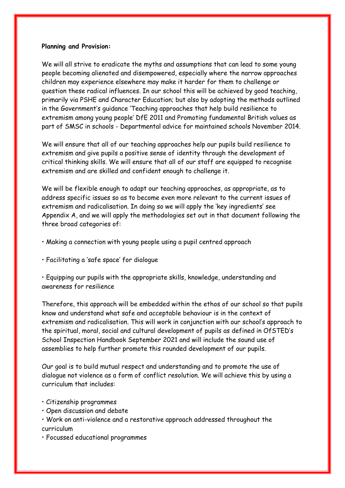### **Planning and Provision:**

We will all strive to eradicate the myths and assumptions that can lead to some young people becoming alienated and disempowered, especially where the narrow approaches children may experience elsewhere may make it harder for them to challenge or question these radical influences. In our school this will be achieved by good teaching, primarily via PSHE and Character Education; but also by adopting the methods outlined in the Government's guidance 'Teaching approaches that help build resilience to extremism among young people' DfE 2011 and Promoting fundamental British values as part of SMSC in schools - Departmental advice for maintained schools November 2014.

We will ensure that all of our teaching approaches help our pupils build resilience to extremism and give pupils a positive sense of identity through the development of critical thinking skills. We will ensure that all of our staff are equipped to recognise extremism and are skilled and confident enough to challenge it.

We will be flexible enough to adapt our teaching approaches, as appropriate, as to address specific issues so as to become even more relevant to the current issues of extremism and radicalisation. In doing so we will apply the 'key ingredients' see Appendix A, and we will apply the methodologies set out in that document following the three broad categories of:

- Making a connection with young people using a pupil centred approach
- Facilitating a 'safe space' for dialogue

• Equipping our pupils with the appropriate skills, knowledge, understanding and awareness for resilience

Therefore, this approach will be embedded within the ethos of our school so that pupils know and understand what safe and acceptable behaviour is in the context of extremism and radicalisation. This will work in conjunction with our school's approach to the spiritual, moral, social and cultural development of pupils as defined in OfSTED's School Inspection Handbook September 2021 and will include the sound use of assemblies to help further promote this rounded development of our pupils.

Our goal is to build mutual respect and understanding and to promote the use of dialogue not violence as a form of conflict resolution. We will achieve this by using a curriculum that includes:

- Citizenship programmes
- Open discussion and debate
- Work on anti-violence and a restorative approach addressed throughout the curriculum
- Focussed educational programmes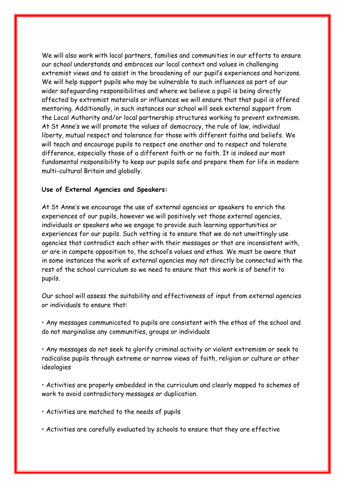We will also work with local partners, families and communities in our efforts to ensure our school understands and embraces our local context and values in challenging extremist views and to assist in the broadening of our pupil's experiences and horizons. We will help support pupils who may be vulnerable to such influences as part of our wider safeguarding responsibilities and where we believe a pupil is being directly affected by extremist materials or influences we will ensure that that pupil is offered mentoring. Additionally, in such instances our school will seek external support from the Local Authority and/or local partnership structures working to prevent extremism. At St Anne's we will promote the values of democracy, the rule of law, individual liberty, mutual respect and tolerance for those with different faiths and beliefs. We will teach and encourage pupils to respect one another and to respect and tolerate difference, especially those of a different faith or no faith. It is indeed our most fundamental responsibility to keep our pupils safe and prepare them for life in modern multi-cultural Britain and globally.

### **Use of External Agencies and Speakers:**

At St Anne's we encourage the use of external agencies or speakers to enrich the experiences of our pupils, however we will positively vet those external agencies, individuals or speakers who we engage to provide such learning opportunities or experiences for our pupils. Such vetting is to ensure that we do not unwittingly use agencies that contradict each other with their messages or that are inconsistent with, or are in compete opposition to, the school's values and ethos. We must be aware that in some instances the work of external agencies may not directly be connected with the rest of the school curriculum so we need to ensure that this work is of benefit to pupils.

Our school will assess the suitability and effectiveness of input from external agencies or individuals to ensure that:

• Any messages communicated to pupils are consistent with the ethos of the school and do not marginalise any communities, groups or individuals

• Any messages do not seek to glorify criminal activity or violent extremism or seek to radicalise pupils through extreme or narrow views of faith, religion or culture or other ideologies

• Activities are properly embedded in the curriculum and clearly mapped to schemes of work to avoid contradictory messages or duplication.

• Activities are matched to the needs of pupils

• Activities are carefully evaluated by schools to ensure that they are effective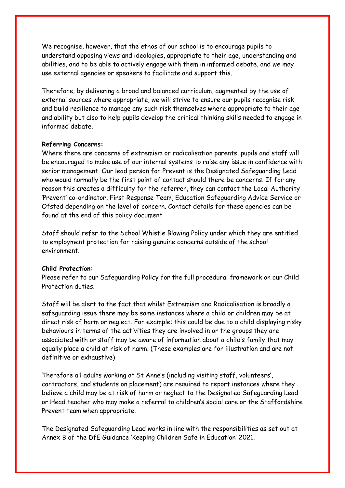We recognise, however, that the ethos of our school is to encourage pupils to understand opposing views and ideologies, appropriate to their age, understanding and abilities, and to be able to actively engage with them in informed debate, and we may use external agencies or speakers to facilitate and support this.

Therefore, by delivering a broad and balanced curriculum, augmented by the use of external sources where appropriate, we will strive to ensure our pupils recognise risk and build resilience to manage any such risk themselves where appropriate to their age and ability but also to help pupils develop the critical thinking skills needed to engage in informed debate.

### **Referring Concerns:**

Where there are concerns of extremism or radicalisation parents, pupils and staff will be encouraged to make use of our internal systems to raise any issue in confidence with senior management. Our lead person for Prevent is the Designated Safeguarding Lead who would normally be the first point of contact should there be concerns. If for any reason this creates a difficulty for the referrer, they can contact the Local Authority 'Prevent' co-ordinator, First Response Team, Education Safeguarding Advice Service or Ofsted depending on the level of concern. Contact details for these agencies can be found at the end of this policy document

Staff should refer to the School Whistle Blowing Policy under which they are entitled to employment protection for raising genuine concerns outside of the school environment.

### **Child Protection:**

Please refer to our Safeguarding Policy for the full procedural framework on our Child Protection duties.

Staff will be alert to the fact that whilst Extremism and Radicalisation is broadly a safeguarding issue there may be some instances where a child or children may be at direct risk of harm or neglect. For example; this could be due to a child displaying risky behaviours in terms of the activities they are involved in or the groups they are associated with or staff may be aware of information about a child's family that may equally place a child at risk of harm. (These examples are for illustration and are not definitive or exhaustive)

Therefore all adults working at St Anne's (including visiting staff, volunteers', contractors, and students on placement) are required to report instances where they believe a child may be at risk of harm or neglect to the Designated Safeguarding Lead or Head teacher who may make a referral to children's social care or the Staffordshire Prevent team when appropriate.

The Designated Safeguarding Lead works in line with the responsibilities as set out at Annex B of the DfE Guidance 'Keeping Children Safe in Education' 2021.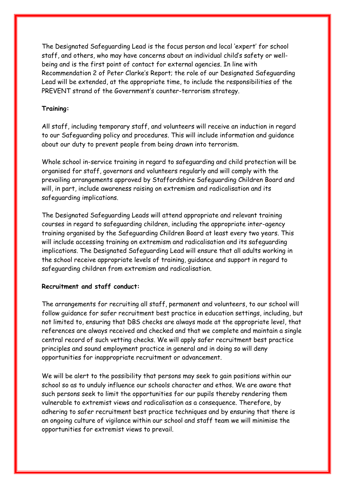The Designated Safeguarding Lead is the focus person and local 'expert' for school staff, and others, who may have concerns about an individual child's safety or wellbeing and is the first point of contact for external agencies. In line with Recommendation 2 of Peter Clarke's Report; the role of our Designated Safeguarding Lead will be extended, at the appropriate time, to include the responsibilities of the PREVENT strand of the Government's counter-terrorism strategy.

### **Training:**

All staff, including temporary staff, and volunteers will receive an induction in regard to our Safeguarding policy and procedures. This will include information and guidance about our duty to prevent people from being drawn into terrorism.

Whole school in-service training in regard to safeguarding and child protection will be organised for staff, governors and volunteers regularly and will comply with the prevailing arrangements approved by Staffordshire Safeguarding Children Board and will, in part, include awareness raising on extremism and radicalisation and its safeguarding implications.

The Designated Safeguarding Leads will attend appropriate and relevant training courses in regard to safeguarding children, including the appropriate inter-agency training organised by the Safeguarding Children Board at least every two years. This will include accessing training on extremism and radicalisation and its safeguarding implications. The Designated Safeguarding Lead will ensure that all adults working in the school receive appropriate levels of training, guidance and support in regard to safeguarding children from extremism and radicalisation.

### **Recruitment and staff conduct:**

The arrangements for recruiting all staff, permanent and volunteers, to our school will follow guidance for safer recruitment best practice in education settings, including, but not limited to, ensuring that DBS checks are always made at the appropriate level, that references are always received and checked and that we complete and maintain a single central record of such vetting checks. We will apply safer recruitment best practice principles and sound employment practice in general and in doing so will deny opportunities for inappropriate recruitment or advancement.

We will be alert to the possibility that persons may seek to gain positions within our school so as to unduly influence our schools character and ethos. We are aware that such persons seek to limit the opportunities for our pupils thereby rendering them vulnerable to extremist views and radicalisation as a consequence. Therefore, by adhering to safer recruitment best practice techniques and by ensuring that there is an ongoing culture of vigilance within our school and staff team we will minimise the opportunities for extremist views to prevail.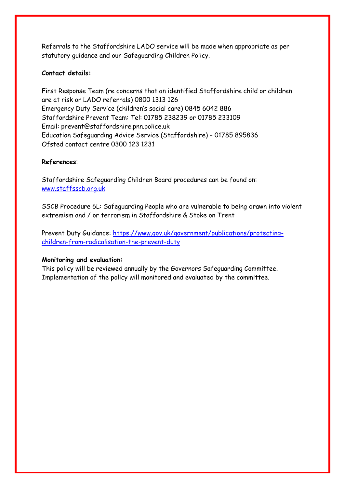Referrals to the Staffordshire LADO service will be made when appropriate as per statutory guidance and our Safeguarding Children Policy.

### **Contact details:**

First Response Team (re concerns that an identified Staffordshire child or children are at risk or LADO referrals) 0800 1313 126 Emergency Duty Service (children's social care) 0845 6042 886 Staffordshire Prevent Team: Tel: 01785 238239 or 01785 233109 Email: prevent@staffordshire.pnn.police.uk Education Safeguarding Advice Service (Staffordshire) – 01785 895836 Ofsted contact centre 0300 123 1231

### **References**:

Staffordshire Safeguarding Children Board procedures can be found on: [www.staffsscb.org.uk](http://www.staffsscb.org.uk/)

SSCB Procedure 6L: Safeguarding People who are vulnerable to being drawn into violent extremism and / or terrorism in Staffordshire & Stoke on Trent

Prevent Duty Guidance: [https://www.gov.uk/government/publications/protecting](https://www.gov.uk/government/publications/protecting-children-from-radicalisation-the-prevent-duty)[children-from-radicalisation-the-prevent-duty](https://www.gov.uk/government/publications/protecting-children-from-radicalisation-the-prevent-duty)

### **Monitoring and evaluation:**

This policy will be reviewed annually by the Governors Safeguarding Committee. Implementation of the policy will monitored and evaluated by the committee.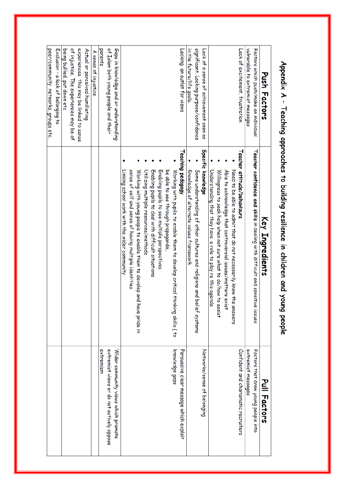| Push Factors                            | Key Ingredients                                                                     | Pull Factors                              |
|-----------------------------------------|-------------------------------------------------------------------------------------|-------------------------------------------|
| Factors which push/make an individual   | <b>Teacher confidence and skills</b> in dealing with difficult and sensitive issues | Factors that draw young people into       |
| vulnerable to extremist messages        |                                                                                     | extremist messages                        |
| Lack of excitement, frustration         | Teacher attitude/behaviours                                                         | Confident and charismatic recruiters      |
|                                         | Need to be able to admit that do not necessarily know the answers                   |                                           |
|                                         | Able to acknowledge that controversial issues/matters exist                         |                                           |
|                                         | Willingness to seek help when not sure what to do/how to assist                     |                                           |
|                                         | Understanding that they have a role to play re this agenda                          |                                           |
| Lack of a sense of achievement seen as  | Specific knowledge                                                                  | Networks/sense of belonging               |
| significant. Lacking purpose/confidence | Some understanding of other cultures and religions and belief systems               |                                           |
| in the future/life goals.               | Knowledge of alternate values framework                                             |                                           |
| Lacking an outlet for views             | Teaching pedagogy                                                                   | Persuasive clear message which exploit    |
|                                         | Working with pupils to enable them to develop critical thinking skills ( to         | knowledge gaps                            |
|                                         | be able to see through propaganda                                                   |                                           |
|                                         | Enabling pupils to see multiple perspectives                                        |                                           |
|                                         | Endbling pupils to deal with difficult situations                                   |                                           |
|                                         | Utilizing multiple resources/methods                                                |                                           |
|                                         | Working with young people to enable them to develop and have pride in               |                                           |
|                                         | sense of self and sense of having multiple identities                               |                                           |
|                                         | Linking school work with the wider community                                        |                                           |
| Gaps in knowledge and or understanding  |                                                                                     | Wider community views which promote       |
| of Islam both young people and their    |                                                                                     | extremist views or do not actively oppose |
| parents                                 |                                                                                     | extremism                                 |
| A sense of injustice                    |                                                                                     |                                           |
| Actual or perceived humiliating         |                                                                                     |                                           |
| experiences this may be linked to sense |                                                                                     |                                           |
| of injustice. The experiences may be of |                                                                                     |                                           |
| being bullied, put down etc             |                                                                                     |                                           |
| Exclusion - a lack of belonging to      |                                                                                     |                                           |
| peer/community networks, groups etc.    |                                                                                     |                                           |

# Appendix A - Teaching approaches to building resilience in children and young people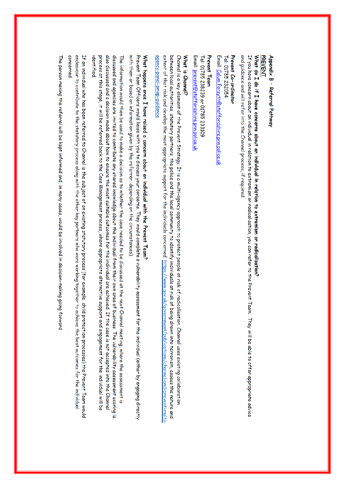### Appendix B - Referral Pathway

### **PREVENT**

## What do I do if I have concerns about an individual in relation to extremism or radicalisation?

and guidance and will refer into the Channel process, if required. If you have concern about an individual in relation to extremism or radicalisation, you can refer to the Prevent Team. They will be able to offer appropriate advice

### Tel: 01785 232054 Prevent Co-ordinator

Email: <u>Calum.Forsyth@staffordshire.pm.police.u</u>k

### Prevent Team

Email: prevent@staffordshire.pm.police.uk Tel: 01785 238239 or 01785 233109

### What is Channel?

extent of that risk and develop the most appropriate support for the individuals concerned. <u>https://www.gov.uk/government/publications/channel-and-prevent-multi-</u> between local authorities, statutory partners, the police and the local community to identify individuals at risk of being drawn into terrorism, assess the nature and Channel is a key element of the Prevent Strategy. It is a multi-agency approach to protect people at risk of radicalisation. Channel uses existing collaboration agency-panel-pmap-guidance

## What happens once I have raised a concern about an individual with the Prevent Team?

with them or based on information given by the referrer, depending on the circumstances). Prevent Team Officers would liaise with you to discuss your concerns. They would complete a vulnerability assessment for the individual (either by engaging directly

also discussed and a decision made about how to ensure the most suitable outcomes for the individual are achieved. If the case is not accepted into the Channel discussed and agencies are invited to contribute any shared knowledge about the individual from their own area of business. The vulnerability assessment scoring is process at this stage, it will be referred back to the Case Management process, where appropriate alternative support and engagement for the individual will be The information would then be used to make a decision as to whether the case needed to be discussed at the next Channel meeting, where the assessment is identified

endeavour to contribute to the statutory process along with the other key partners who were working together to achieve the best outcomes for the individual If an individual who has been referred to Channel is the subject of an existing statutory process (for example, child protection processes) the Prevent Team would concerned

The person making the referral will be kept informed and, in many cases, would be involved in decision-making going forward